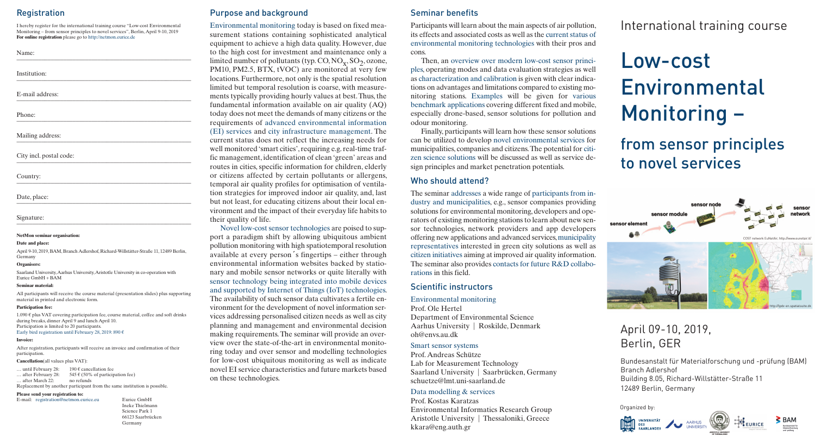## **Registration**

I hereby register for the international training course "Low-cost Environmental Monitoring – from sensor principles to novel services", Berlin,April 9-10, 2019 **For online registration** please go to http://netmon.eurice.de

| <b>NT</b><br>$m$ e<br>. |  |  |
|-------------------------|--|--|
|                         |  |  |

Institution: \_\_\_\_\_\_\_\_\_\_\_\_\_\_\_\_\_\_\_\_\_\_\_\_\_\_\_\_\_\_\_\_\_\_\_\_\_\_\_\_\_\_\_\_\_\_\_\_\_\_\_\_\_\_\_\_

E-mail address: \_\_\_\_\_\_\_\_\_\_\_\_\_\_\_\_\_\_\_\_\_\_\_\_\_\_\_\_\_\_\_\_\_\_\_\_\_\_\_\_\_\_\_\_\_\_\_\_\_\_\_\_\_\_\_\_

Phone: \_\_\_\_\_\_\_\_\_\_\_\_\_\_\_\_\_\_\_\_\_\_\_\_\_\_\_\_\_\_\_\_\_\_\_\_\_\_\_\_\_\_\_\_\_\_\_\_\_\_\_\_\_\_\_\_

Mailing address:

City incl. postal code:

Country: \_\_\_\_\_\_\_\_\_\_\_\_\_\_\_\_\_\_\_\_\_\_\_\_\_\_\_\_\_\_\_\_\_\_\_\_\_\_\_\_\_\_\_\_\_\_\_\_\_\_\_\_\_\_\_\_

Date, place: \_\_\_\_\_\_\_\_\_\_\_\_\_\_\_\_\_\_\_\_\_\_\_\_\_\_\_\_\_\_\_\_\_\_\_\_\_\_\_\_\_\_\_\_\_\_\_\_\_\_\_\_\_\_\_\_

Signature: \_\_\_\_\_\_\_\_\_\_\_\_\_\_\_\_\_\_\_\_\_\_\_\_\_\_\_\_\_\_\_\_\_\_\_\_\_\_\_\_\_\_\_\_\_\_\_\_\_\_\_\_\_\_\_\_

#### **NetMon seminar organisation:**

#### **Date and place:**

April 9-10, 2019, BAM, Branch Adlershof,Richard-Willstätter-Straße 11, 12489 Berlin, Germany

#### **Organisers:**

Saarland University,Aarhus University,Aristotle University in co-operation with Eurice GmbH + BAM

#### **Seminar material:**

All participants will receive the course material (presentation slides) plus supporting material in printed and electronic form.

#### **Participation fee:**

1.090  $€$  plus VAT covering participation fee, course material, coffee and soft drinks during breaks, dinner April 9 and lunch April 10. Participation is limited to 20 participants. Early bird registration until February 28, 2019: 890  $\epsilon$ 

#### **Invoice:**

After registration, participants will receive an invoice and confirmation of their participation.

#### **Cancellation**(all values plus VAT):

... until February 28: 190 € cancellation fee ... after February 28:  $545 \in (50\% \text{ of participation fee})$ … after March 22: no refunds Replacement by another participant from the same institution is possible.

#### **Please send your registration to:**

E-mail: registration@netmon.eurice.eu Eurice GmbH

Ineke Thielmann Science Park 1 66123 Saarbrücken Germany

## Purpose and background

Environmental monitoring today is based on fixed measurement stations containing sophisticated analytical equipment to achieve a high data quality. However, due to the high cost for investment and maintenance only a limited number of pollutants (typ.  $CO, NO_x, SO_2, ozone$ , PM10, PM2.5, BTX, tVOC) are monitored at very few locations. Furthermore, not only is the spatial resolution limited but temporal resolution is coarse, with measurements typically providing hourly values at best.Thus,the fundamental information available on air quality (AQ) today does not meet the demands of many citizens or the requirements of advanced environmental information (EI) services and city infrastructure management. The current status does not reflect the increasing needs for well monitored 'smart cities', requiring e.g. real-time traffic management, identification of clean 'green' areas and routes in cities, specific information for children, elderly or citizens affected by certain pollutants or allergens, temporal air quality profiles for optimisation of ventilation strategies for improved indoor air quality, and, last but not least, for educating citizens about their local environment and the impact of their everyday life habits to their quality of life.

Novel low-cost sensor technologies are poised to support a paradigm shift by allowing ubiquitous ambient pollution monitoring with high spatiotemporal resolution available at every person´s fingertips – either through environmental information websites backed by stationary and mobile sensor networks or quite literally with sensor technology being integrated into mobile devices and supported by Internet of Things (IoT) technologies. The availability of such sensor data cultivates a fertile environment for the development of novel information services addressing personalised citizen needs as well as city planning and management and environmental decision making requirements.The seminar will provide an overview over the state-of-the-art in environmental monitoring today and over sensor and modelling technologies for low-cost ubiquitous monitoring as well as indicate novel EI service characteristics and future markets based on these technologies.

## Seminar benefits

Participants will learn about the main aspects of air pollution, its effects and associated costs as well as the current status of environmental monitoring technologies with their pros and cons.

Then, an overview over modern low-cost sensor principles, operating modes and data evaluation strategies as well as characterization and calibration is given with clear indications on advantages and limitations compared to existing monitoring stations. Examples will be given for various benchmark applications covering different fixed and mobile, especially drone-based, sensor solutions for pollution and odour monitoring.

Finally, participants will learn how these sensor solutions can be utilized to develop novel environmental services for municipalities, companies and citizens.The potential for citizen science solutions will be discussed as well as service design principles and market penetration potentials.

#### Who should attend?

The seminar addresses a wide range of participants from industry and municipalities, e.g., sensor companies providing solutions for environmental monitoring, developers and operators of existing monitoring stations to learn about new sensor technologies, network providers and app developers offering new applications and advanced services,municipality representatives interested in green city solutions as well as citizen initiatives aiming at improved air quality information. The seminar also provides contacts for future R&D collaborations in this field.

## Scientific instructors

#### Environmental monitoring

Prof. Ole Hertel Department of Environmental Science Aarhus University | Roskilde, Denmark oh@envs.au.dk

#### Smart sensor systems

Prof.Andreas Schütze Lab for Measurement Technology Saarland University | Saarbrücken, Germany schuetze@lmt.uni-saarland.de

#### Data modelling & services

Prof. Kostas Karatzas Environmental Informatics Research Group Aristotle University | Thessaloniki, Greece kkara@eng.auth.gr

# International training course

# Low-cost Environmental Monitoring –

from sensor principles to novel services



# April 09-10, 2019, Berlin, GER

Bundesanstalt für Materialforschung und -prüfung (BAM) Branch Adlershof Building 8.05, Richard-Willstätter-Straße 11 12489 Berlin, Germany